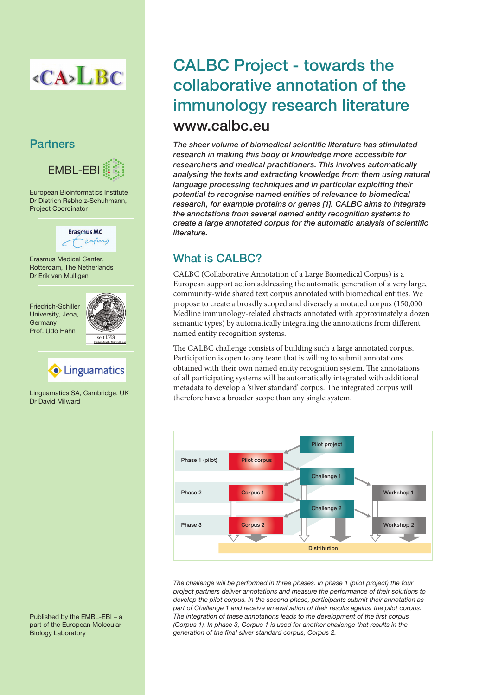

### **Partners**



European Bioinformatics Institute Dr Dietrich Rebholz-Schuhmann, Project Coordinator



Erasmus Medical Center, Rotterdam, The Netherlands Dr Erik van Mulligen

Friedrich-Schiller University, Jena, Germany Prof. Udo Hahn





Linguamatics SA, Cambridge, UK Dr David Milward

Published by the EMBL-EBI – a part of the European Molecular Biology Laboratory

# CALBC Project - towards the collaborative annotation of the immunology research literature www.calbc.eu

The sheer volume of biomedical scientific literature has stimulated research in making this body of knowledge more accessible for researchers and medical practitioners. This involves automatically analysing the texts and extracting knowledge from them using natural language processing techniques and in particular exploiting their potential to recognise named entities of relevance to biomedical research, for example proteins or genes [1]. CALBC aims to integrate the annotations from several named entity recognition systems to create a large annotated corpus for the automatic analysis of scientific literature.

## What is CALBC?

CALBC (Collaborative Annotation of a Large Biomedical Corpus) is a European support action addressing the automatic generation of a very large, community-wide shared text corpus annotated with biomedical entities. We propose to create a broadly scoped and diversely annotated corpus (150,000 Medline immunology-related abstracts annotated with approximately a dozen semantic types) by automatically integrating the annotations from different named entity recognition systems.

The CALBC challenge consists of building such a large annotated corpus. Participation is open to any team that is willing to submit annotations obtained with their own named entity recognition system. The annotations of all participating systems will be automatically integrated with additional metadata to develop a 'silver standard' corpus. The integrated corpus will therefore have a broader scope than any single system.



The challenge will be performed in three phases. In phase 1 (pilot project) the four project partners deliver annotations and measure the performance of their solutions to develop the pilot corpus. In the second phase, participants submit their annotation as part of Challenge 1 and receive an evaluation of their results against the pilot corpus. The integration of these annotations leads to the development of the first corpus (Corpus 1). In phase 3, Corpus 1 is used for another challenge that results in the generation of the final silver standard corpus, Corpus 2.